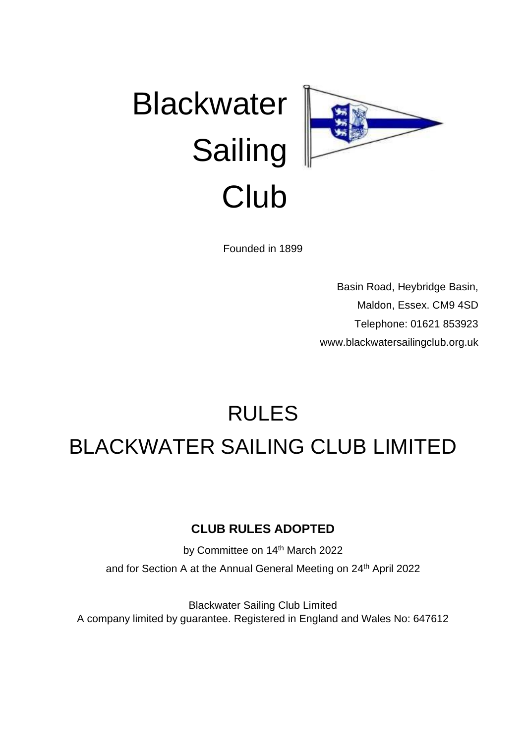

Founded in 1899

Basin Road, Heybridge Basin, Maldon, Essex. CM9 4SD Telephone: 01621 853923 [www.blackwatersailingclub.org.uk](http://www.blackwatersailingclub.org.uk/)

# RULES BLACKWATER SAILING CLUB LIMITED

# **CLUB RULES ADOPTED**

by Committee on 14<sup>th</sup> March 2022 and for Section A at the Annual General Meeting on 24<sup>th</sup> April 2022

Blackwater Sailing Club Limited A company limited by guarantee. Registered in England and Wales No: 647612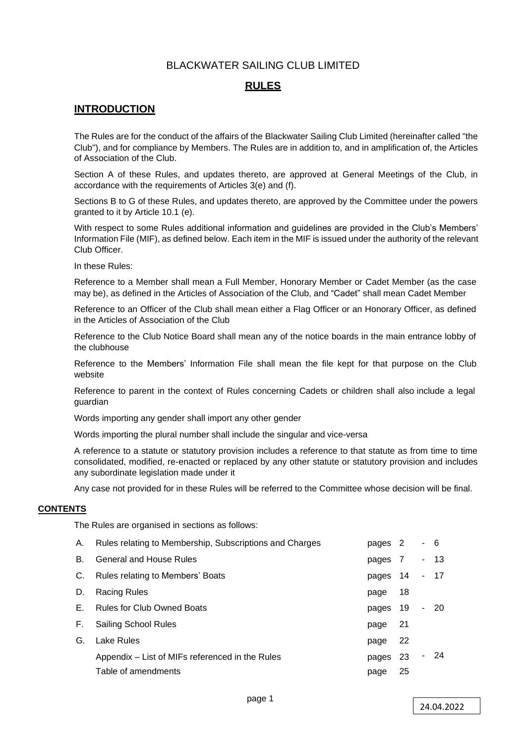# BLACKWATER SAILING CLUB LIMITED

# **RULES**

# **INTRODUCTION**

The Rules are for the conduct of the affairs of the Blackwater Sailing Club Limited (hereinafter called "the Club"), and for compliance by Members. The Rules are in addition to, and in amplification of, the Articles of Association of the Club.

Section A of these Rules, and updates thereto, are approved at General Meetings of the Club, in accordance with the requirements of Articles 3(e) and (f).

Sections B to G of these Rules, and updates thereto, are approved by the Committee under the powers granted to it by Article 10.1 (e).

With respect to some Rules additional information and guidelines are provided in the Club's Members' Information File (MIF), as defined below. Each item in the MIF is issued under the authority of the relevant Club Officer.

In these Rules:

Reference to a Member shall mean a Full Member, Honorary Member or Cadet Member (as the case may be), as defined in the Articles of Association of the Club, and "Cadet" shall mean Cadet Member

Reference to an Officer of the Club shall mean either a Flag Officer or an Honorary Officer, as defined in the Articles of Association of the Club

Reference to the Club Notice Board shall mean any of the notice boards in the main entrance lobby of the clubhouse

Reference to the Members' Information File shall mean the file kept for that purpose on the Club website

Reference to parent in the context of Rules concerning Cadets or children shall also include a legal guardian

Words importing any gender shall import any other gender

Words importing the plural number shall include the singular and vice-versa

A reference to a statute or statutory provision includes a reference to that statute as from time to time consolidated, modified, re-enacted or replaced by any other statute or statutory provision and includes any subordinate legislation made under it

Any case not provided for in these Rules will be referred to the Committee whose decision will be final.

#### **CONTENTS**

The Rules are organised in sections as follows:

| А.  | Rules relating to Membership, Subscriptions and Charges | pages 2  |     | - 6 |      |
|-----|---------------------------------------------------------|----------|-----|-----|------|
| В.  | <b>General and House Rules</b>                          | pages 7  |     |     | - 13 |
| C.  | Rules relating to Members' Boats                        | pages 14 |     |     | - 17 |
| D.  | Racing Rules                                            | page     | 18  |     |      |
| E., | <b>Rules for Club Owned Boats</b>                       | pages    | 19  |     | - 20 |
| F.  | <b>Sailing School Rules</b>                             | page     | -21 |     |      |
| G.  | Lake Rules                                              | page     | 22  |     |      |
|     | Appendix – List of MIFs referenced in the Rules         | pages    | -23 |     | - 24 |
|     | Table of amendments                                     | page     | 25  |     |      |
|     |                                                         |          |     |     |      |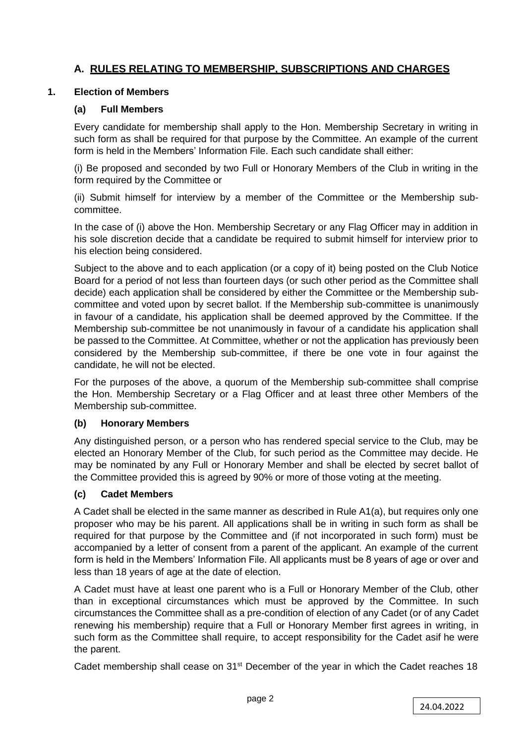# **A. RULES RELATING TO MEMBERSHIP, SUBSCRIPTIONS AND CHARGES**

# **1. Election of Members**

# **(a) Full Members**

Every candidate for membership shall apply to the Hon. Membership Secretary in writing in such form as shall be required for that purpose by the Committee. An example of the current form is held in the Members' Information File. Each such candidate shall either:

(i) Be proposed and seconded by two Full or Honorary Members of the Club in writing in the form required by the Committee or

(ii) Submit himself for interview by a member of the Committee or the Membership subcommittee.

In the case of (i) above the Hon. Membership Secretary or any Flag Officer may in addition in his sole discretion decide that a candidate be required to submit himself for interview prior to his election being considered.

Subject to the above and to each application (or a copy of it) being posted on the Club Notice Board for a period of not less than fourteen days (or such other period as the Committee shall decide) each application shall be considered by either the Committee or the Membership subcommittee and voted upon by secret ballot. If the Membership sub-committee is unanimously in favour of a candidate, his application shall be deemed approved by the Committee. If the Membership sub-committee be not unanimously in favour of a candidate his application shall be passed to the Committee. At Committee, whether or not the application has previously been considered by the Membership sub-committee, if there be one vote in four against the candidate, he will not be elected.

For the purposes of the above, a quorum of the Membership sub-committee shall comprise the Hon. Membership Secretary or a Flag Officer and at least three other Members of the Membership sub-committee.

# **(b) Honorary Members**

Any distinguished person, or a person who has rendered special service to the Club, may be elected an Honorary Member of the Club, for such period as the Committee may decide. He may be nominated by any Full or Honorary Member and shall be elected by secret ballot of the Committee provided this is agreed by 90% or more of those voting at the meeting.

# **(c) Cadet Members**

A Cadet shall be elected in the same manner as described in Rule A1(a), but requires only one proposer who may be his parent. All applications shall be in writing in such form as shall be required for that purpose by the Committee and (if not incorporated in such form) must be accompanied by a letter of consent from a parent of the applicant. An example of the current form is held in the Members' Information File. All applicants must be 8 years of age or over and less than 18 years of age at the date of election.

A Cadet must have at least one parent who is a Full or Honorary Member of the Club, other than in exceptional circumstances which must be approved by the Committee. In such circumstances the Committee shall as a pre-condition of election of any Cadet (or of any Cadet renewing his membership) require that a Full or Honorary Member first agrees in writing, in such form as the Committee shall require, to accept responsibility for the Cadet asif he were the parent.

Cadet membership shall cease on 31<sup>st</sup> December of the year in which the Cadet reaches 18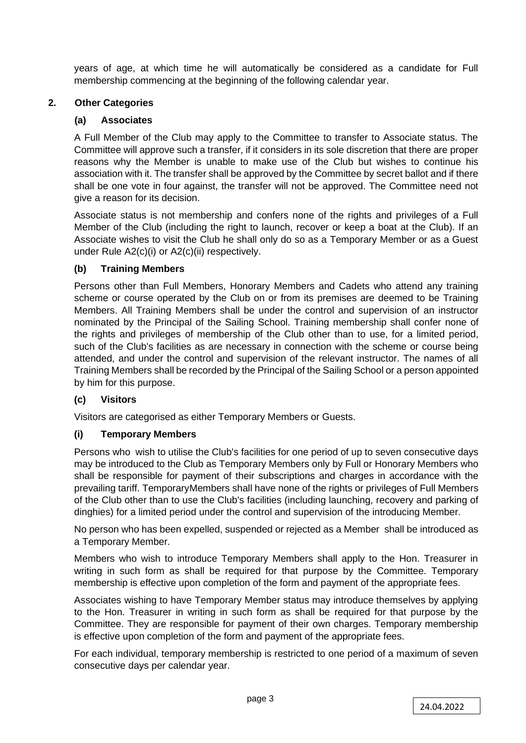years of age, at which time he will automatically be considered as a candidate for Full membership commencing at the beginning of the following calendar year.

# **2. Other Categories**

# **(a) Associates**

A Full Member of the Club may apply to the Committee to transfer to Associate status. The Committee will approve such a transfer, if it considers in its sole discretion that there are proper reasons why the Member is unable to make use of the Club but wishes to continue his association with it. The transfer shall be approved by the Committee by secret ballot and if there shall be one vote in four against, the transfer will not be approved. The Committee need not give a reason for its decision.

Associate status is not membership and confers none of the rights and privileges of a Full Member of the Club (including the right to launch, recover or keep a boat at the Club). If an Associate wishes to visit the Club he shall only do so as a Temporary Member or as a Guest under Rule A2(c)(i) or A2(c)(ii) respectively.

# **(b) Training Members**

Persons other than Full Members, Honorary Members and Cadets who attend any training scheme or course operated by the Club on or from its premises are deemed to be Training Members. All Training Members shall be under the control and supervision of an instructor nominated by the Principal of the Sailing School. Training membership shall confer none of the rights and privileges of membership of the Club other than to use, for a limited period, such of the Club's facilities as are necessary in connection with the scheme or course being attended, and under the control and supervision of the relevant instructor. The names of all Training Members shall be recorded by the Principal of the Sailing School or a person appointed by him for this purpose.

# **(c) Visitors**

Visitors are categorised as either Temporary Members or Guests.

# **(i) Temporary Members**

Persons who wish to utilise the Club's facilities for one period of up to seven consecutive days may be introduced to the Club as Temporary Members only by Full or Honorary Members who shall be responsible for payment of their subscriptions and charges in accordance with the prevailing tariff. TemporaryMembers shall have none of the rights or privileges of Full Members of the Club other than to use the Club's facilities (including launching, recovery and parking of dinghies) for a limited period under the control and supervision of the introducing Member.

No person who has been expelled, suspended or rejected as a Member shall be introduced as a Temporary Member.

Members who wish to introduce Temporary Members shall apply to the Hon. Treasurer in writing in such form as shall be required for that purpose by the Committee. Temporary membership is effective upon completion of the form and payment of the appropriate fees.

Associates wishing to have Temporary Member status may introduce themselves by applying to the Hon. Treasurer in writing in such form as shall be required for that purpose by the Committee. They are responsible for payment of their own charges. Temporary membership is effective upon completion of the form and payment of the appropriate fees.

For each individual, temporary membership is restricted to one period of a maximum of seven consecutive days per calendar year.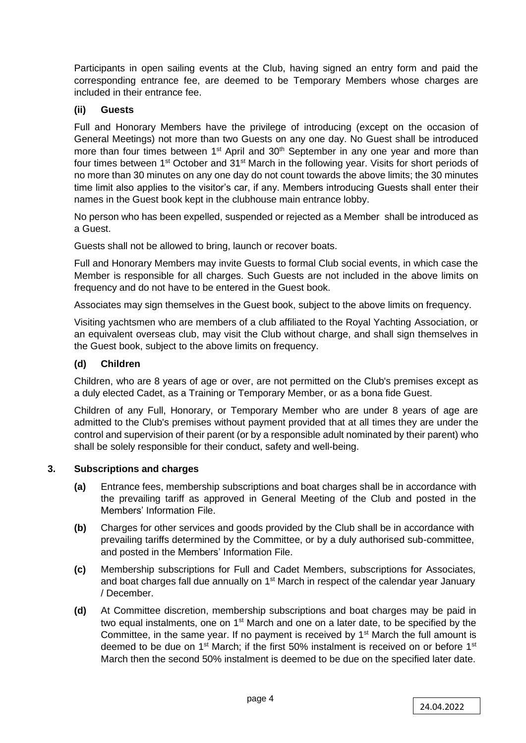Participants in open sailing events at the Club, having signed an entry form and paid the corresponding entrance fee, are deemed to be Temporary Members whose charges are included in their entrance fee.

# **(ii) Guests**

Full and Honorary Members have the privilege of introducing (except on the occasion of General Meetings) not more than two Guests on any one day. No Guest shall be introduced more than four times between 1<sup>st</sup> April and 30<sup>th</sup> September in any one year and more than four times between 1<sup>st</sup> October and 31<sup>st</sup> March in the following year. Visits for short periods of no more than 30 minutes on any one day do not count towards the above limits; the 30 minutes time limit also applies to the visitor's car, if any. Members introducing Guests shall enter their names in the Guest book kept in the clubhouse main entrance lobby.

No person who has been expelled, suspended or rejected as a Member shall be introduced as a Guest.

Guests shall not be allowed to bring, launch or recover boats.

Full and Honorary Members may invite Guests to formal Club social events, in which case the Member is responsible for all charges. Such Guests are not included in the above limits on frequency and do not have to be entered in the Guest book.

Associates may sign themselves in the Guest book, subject to the above limits on frequency.

Visiting yachtsmen who are members of a club affiliated to the Royal Yachting Association, or an equivalent overseas club, may visit the Club without charge, and shall sign themselves in the Guest book, subject to the above limits on frequency.

# **(d) Children**

Children, who are 8 years of age or over, are not permitted on the Club's premises except as a duly elected Cadet, as a Training or Temporary Member, or as a bona fide Guest.

Children of any Full, Honorary, or Temporary Member who are under 8 years of age are admitted to the Club's premises without payment provided that at all times they are under the control and supervision of their parent (or by a responsible adult nominated by their parent) who shall be solely responsible for their conduct, safety and well-being.

# **3. Subscriptions and charges**

- **(a)** Entrance fees, membership subscriptions and boat charges shall be in accordance with the prevailing tariff as approved in General Meeting of the Club and posted in the Members' Information File.
- **(b)** Charges for other services and goods provided by the Club shall be in accordance with prevailing tariffs determined by the Committee, or by a duly authorised sub-committee, and posted in the Members' Information File.
- **(c)** Membership subscriptions for Full and Cadet Members, subscriptions for Associates, and boat charges fall due annually on 1<sup>st</sup> March in respect of the calendar year January / December.
- **(d)** At Committee discretion, membership subscriptions and boat charges may be paid in two equal instalments, one on 1<sup>st</sup> March and one on a later date, to be specified by the Committee, in the same year. If no payment is received by 1<sup>st</sup> March the full amount is deemed to be due on  $1<sup>st</sup>$  March; if the first 50% instalment is received on or before  $1<sup>st</sup>$ March then the second 50% instalment is deemed to be due on the specified later date.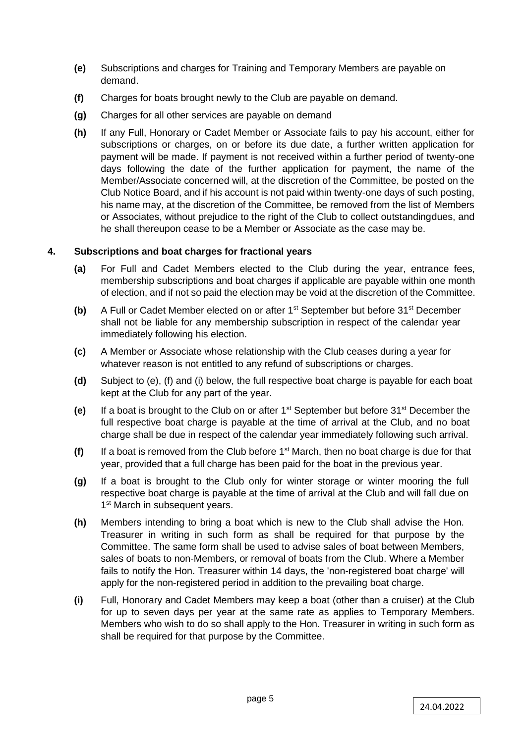- **(e)** Subscriptions and charges for Training and Temporary Members are payable on demand.
- **(f)** Charges for boats brought newly to the Club are payable on demand.
- **(g)** Charges for all other services are payable on demand
- **(h)** If any Full, Honorary or Cadet Member or Associate fails to pay his account, either for subscriptions or charges, on or before its due date, a further written application for payment will be made. If payment is not received within a further period of twenty-one days following the date of the further application for payment, the name of the Member/Associate concerned will, at the discretion of the Committee, be posted on the Club Notice Board, and if his account is not paid within twenty-one days of such posting, his name may, at the discretion of the Committee, be removed from the list of Members or Associates, without prejudice to the right of the Club to collect outstandingdues, and he shall thereupon cease to be a Member or Associate as the case may be.

# **4. Subscriptions and boat charges for fractional years**

- **(a)** For Full and Cadet Members elected to the Club during the year, entrance fees, membership subscriptions and boat charges if applicable are payable within one month of election, and if not so paid the election may be void at the discretion of the Committee.
- **(b)** A Full or Cadet Member elected on or after 1<sup>st</sup> September but before 31<sup>st</sup> December shall not be liable for any membership subscription in respect of the calendar year immediately following his election.
- **(c)** A Member or Associate whose relationship with the Club ceases during a year for whatever reason is not entitled to any refund of subscriptions or charges.
- **(d)** Subject to (e), (f) and (i) below, the full respective boat charge is payable for each boat kept at the Club for any part of the year.
- **(e)** If a boat is brought to the Club on or after 1st September but before 31st December the full respective boat charge is payable at the time of arrival at the Club, and no boat charge shall be due in respect of the calendar year immediately following such arrival.
- **(f)** If a boat is removed from the Club before 1<sup>st</sup> March, then no boat charge is due for that year, provided that a full charge has been paid for the boat in the previous year.
- **(g)** If a boat is brought to the Club only for winter storage or winter mooring the full respective boat charge is payable at the time of arrival at the Club and will fall due on 1<sup>st</sup> March in subsequent years.
- **(h)** Members intending to bring a boat which is new to the Club shall advise the Hon. Treasurer in writing in such form as shall be required for that purpose by the Committee. The same form shall be used to advise sales of boat between Members, sales of boats to non-Members, or removal of boats from the Club. Where a Member fails to notify the Hon. Treasurer within 14 days, the 'non-registered boat charge' will apply for the non-registered period in addition to the prevailing boat charge.
- **(i)** Full, Honorary and Cadet Members may keep a boat (other than a cruiser) at the Club for up to seven days per year at the same rate as applies to Temporary Members. Members who wish to do so shall apply to the Hon. Treasurer in writing in such form as shall be required for that purpose by the Committee.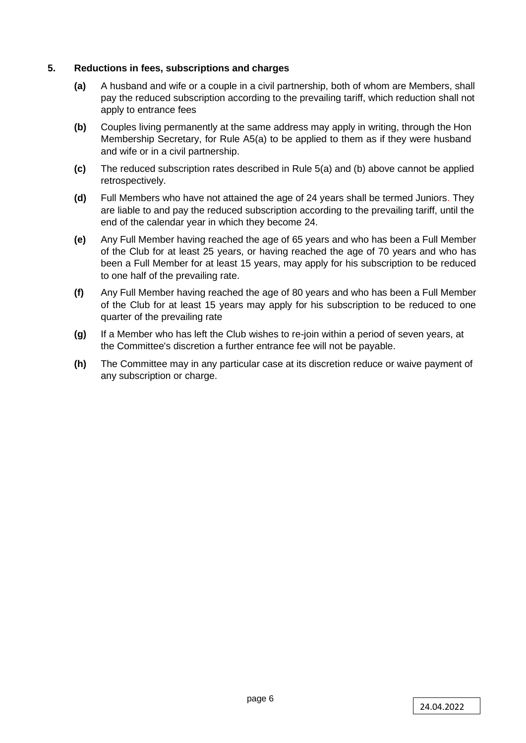# **5. Reductions in fees, subscriptions and charges**

- **(a)** A husband and wife or a couple in a civil partnership, both of whom are Members, shall pay the reduced subscription according to the prevailing tariff, which reduction shall not apply to entrance fees
- **(b)** Couples living permanently at the same address may apply in writing, through the Hon Membership Secretary, for Rule A5(a) to be applied to them as if they were husband and wife or in a civil partnership.
- **(c)** The reduced subscription rates described in Rule 5(a) and (b) above cannot be applied retrospectively.
- **(d)** Full Members who have not attained the age of 24 years shall be termed Juniors. They are liable to and pay the reduced subscription according to the prevailing tariff, until the end of the calendar year in which they become 24.
- **(e)** Any Full Member having reached the age of 65 years and who has been a Full Member of the Club for at least 25 years, or having reached the age of 70 years and who has been a Full Member for at least 15 years, may apply for his subscription to be reduced to one half of the prevailing rate.
- **(f)** Any Full Member having reached the age of 80 years and who has been a Full Member of the Club for at least 15 years may apply for his subscription to be reduced to one quarter of the prevailing rate
- **(g)** If a Member who has left the Club wishes to re-join within a period of seven years, at the Committee's discretion a further entrance fee will not be payable.
- **(h)** The Committee may in any particular case at its discretion reduce or waive payment of any subscription or charge.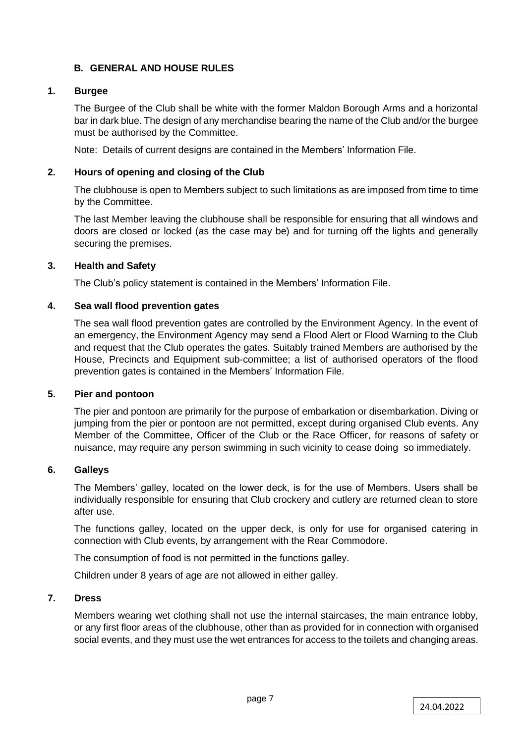# **B. GENERAL AND HOUSE RULES**

# **1. Burgee**

The Burgee of the Club shall be white with the former Maldon Borough Arms and a horizontal bar in dark blue. The design of any merchandise bearing the name of the Club and/or the burgee must be authorised by the Committee.

Note: Details of current designs are contained in the Members' Information File.

# **2. Hours of opening and closing of the Club**

The clubhouse is open to Members subject to such limitations as are imposed from time to time by the Committee.

The last Member leaving the clubhouse shall be responsible for ensuring that all windows and doors are closed or locked (as the case may be) and for turning off the lights and generally securing the premises.

# **3. Health and Safety**

The Club's policy statement is contained in the Members' Information File.

# **4. Sea wall flood prevention gates**

The sea wall flood prevention gates are controlled by the Environment Agency. In the event of an emergency, the Environment Agency may send a Flood Alert or Flood Warning to the Club and request that the Club operates the gates. Suitably trained Members are authorised by the House, Precincts and Equipment sub-committee; a list of authorised operators of the flood prevention gates is contained in the Members' Information File.

# **5. Pier and pontoon**

The pier and pontoon are primarily for the purpose of embarkation or disembarkation. Diving or jumping from the pier or pontoon are not permitted, except during organised Club events. Any Member of the Committee, Officer of the Club or the Race Officer, for reasons of safety or nuisance, may require any person swimming in such vicinity to cease doing so immediately.

# **6. Galleys**

The Members' galley, located on the lower deck, is for the use of Members. Users shall be individually responsible for ensuring that Club crockery and cutlery are returned clean to store after use.

The functions galley, located on the upper deck, is only for use for organised catering in connection with Club events, by arrangement with the Rear Commodore.

The consumption of food is not permitted in the functions galley.

Children under 8 years of age are not allowed in either galley.

# **7. Dress**

Members wearing wet clothing shall not use the internal staircases, the main entrance lobby, or any first floor areas of the clubhouse, other than as provided for in connection with organised social events, and they must use the wet entrances for access to the toilets and changing areas.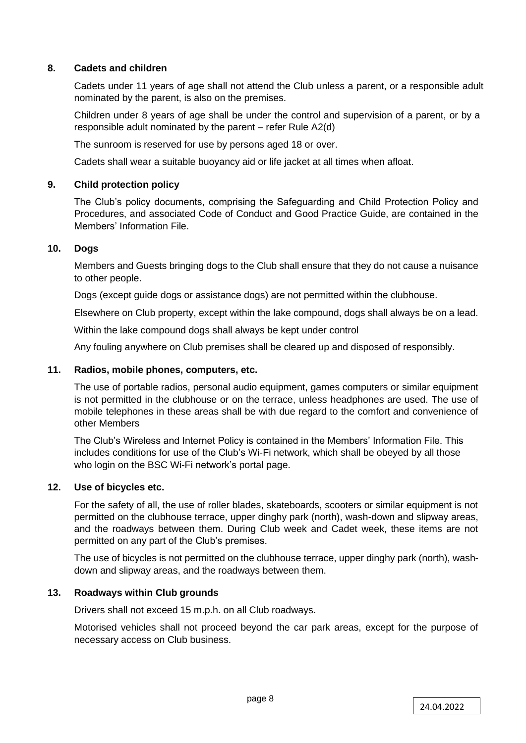# **8. Cadets and children**

Cadets under 11 years of age shall not attend the Club unless a parent, or a responsible adult nominated by the parent, is also on the premises.

Children under 8 years of age shall be under the control and supervision of a parent, or by a responsible adult nominated by the parent – refer Rule A2(d)

The sunroom is reserved for use by persons aged 18 or over.

Cadets shall wear a suitable buoyancy aid or life jacket at all times when afloat.

# **9. Child protection policy**

The Club's policy documents, comprising the Safeguarding and Child Protection Policy and Procedures, and associated Code of Conduct and Good Practice Guide, are contained in the Members' Information File.

# **10. Dogs**

Members and Guests bringing dogs to the Club shall ensure that they do not cause a nuisance to other people.

Dogs (except guide dogs or assistance dogs) are not permitted within the clubhouse.

Elsewhere on Club property, except within the lake compound, dogs shall always be on a lead.

Within the lake compound dogs shall always be kept under control

Any fouling anywhere on Club premises shall be cleared up and disposed of responsibly.

# **11. Radios, mobile phones, computers, etc.**

The use of portable radios, personal audio equipment, games computers or similar equipment is not permitted in the clubhouse or on the terrace, unless headphones are used. The use of mobile telephones in these areas shall be with due regard to the comfort and convenience of other Members

The Club's Wireless and Internet Policy is contained in the Members' Information File. This includes conditions for use of the Club's Wi-Fi network, which shall be obeyed by all those who login on the BSC Wi-Fi network's portal page.

# **12. Use of bicycles etc.**

For the safety of all, the use of roller blades, skateboards, scooters or similar equipment is not permitted on the clubhouse terrace, upper dinghy park (north), wash-down and slipway areas, and the roadways between them. During Club week and Cadet week, these items are not permitted on any part of the Club's premises.

The use of bicycles is not permitted on the clubhouse terrace, upper dinghy park (north), washdown and slipway areas, and the roadways between them.

# **13. Roadways within Club grounds**

Drivers shall not exceed 15 m.p.h. on all Club roadways.

Motorised vehicles shall not proceed beyond the car park areas, except for the purpose of necessary access on Club business.

page 8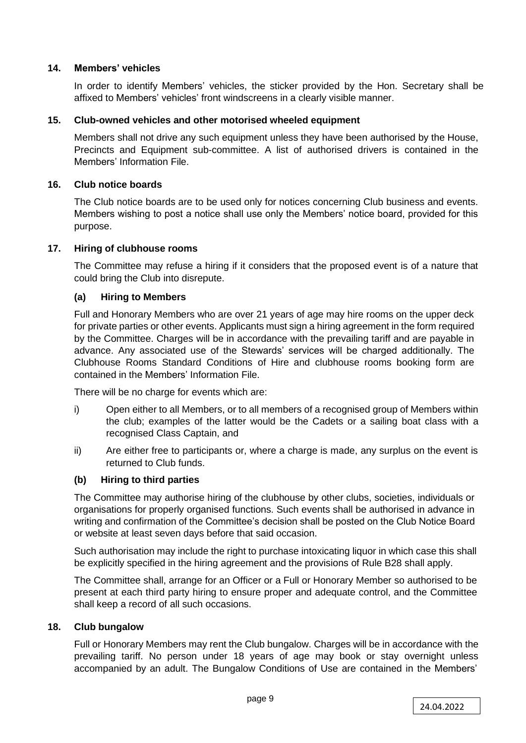# **14. Members' vehicles**

In order to identify Members' vehicles, the sticker provided by the Hon. Secretary shall be affixed to Members' vehicles' front windscreens in a clearly visible manner.

# **15. Club-owned vehicles and other motorised wheeled equipment**

Members shall not drive any such equipment unless they have been authorised by the House, Precincts and Equipment sub-committee. A list of authorised drivers is contained in the Members' Information File.

# **16. Club notice boards**

The Club notice boards are to be used only for notices concerning Club business and events. Members wishing to post a notice shall use only the Members' notice board, provided for this purpose.

# **17. Hiring of clubhouse rooms**

The Committee may refuse a hiring if it considers that the proposed event is of a nature that could bring the Club into disrepute.

# **(a) Hiring to Members**

Full and Honorary Members who are over 21 years of age may hire rooms on the upper deck for private parties or other events. Applicants must sign a hiring agreement in the form required by the Committee. Charges will be in accordance with the prevailing tariff and are payable in advance. Any associated use of the Stewards' services will be charged additionally. The Clubhouse Rooms Standard Conditions of Hire and clubhouse rooms booking form are contained in the Members' Information File.

There will be no charge for events which are:

- i) Open either to all Members, or to all members of a recognised group of Members within the club; examples of the latter would be the Cadets or a sailing boat class with a recognised Class Captain, and
- ii) Are either free to participants or, where a charge is made, any surplus on the event is returned to Club funds.

# **(b) Hiring to third parties**

The Committee may authorise hiring of the clubhouse by other clubs, societies, individuals or organisations for properly organised functions. Such events shall be authorised in advance in writing and confirmation of the Committee's decision shall be posted on the Club Notice Board or website at least seven days before that said occasion.

Such authorisation may include the right to purchase intoxicating liquor in which case this shall be explicitly specified in the hiring agreement and the provisions of Rule B28 shall apply.

The Committee shall, arrange for an Officer or a Full or Honorary Member so authorised to be present at each third party hiring to ensure proper and adequate control, and the Committee shall keep a record of all such occasions.

# **18. Club bungalow**

Full or Honorary Members may rent the Club bungalow. Charges will be in accordance with the prevailing tariff. No person under 18 years of age may book or stay overnight unless accompanied by an adult. The Bungalow Conditions of Use are contained in the Members'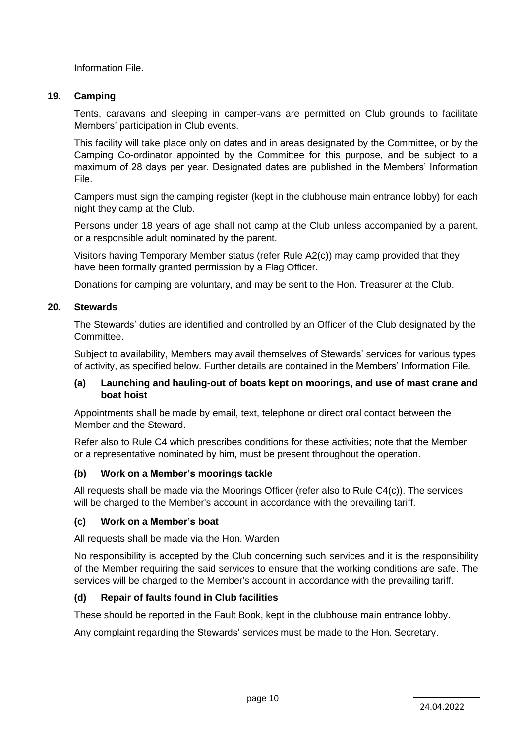Information File.

# **19. Camping**

Tents, caravans and sleeping in camper-vans are permitted on Club grounds to facilitate Members' participation in Club events.

This facility will take place only on dates and in areas designated by the Committee, or by the Camping Co-ordinator appointed by the Committee for this purpose, and be subject to a maximum of 28 days per year. Designated dates are published in the Members' Information File.

Campers must sign the camping register (kept in the clubhouse main entrance lobby) for each night they camp at the Club.

Persons under 18 years of age shall not camp at the Club unless accompanied by a parent, or a responsible adult nominated by the parent.

Visitors having Temporary Member status (refer Rule A2(c)) may camp provided that they have been formally granted permission by a Flag Officer.

Donations for camping are voluntary, and may be sent to the Hon. Treasurer at the Club.

# **20. Stewards**

The Stewards' duties are identified and controlled by an Officer of the Club designated by the Committee.

Subject to availability, Members may avail themselves of Stewards' services for various types of activity, as specified below. Further details are contained in the Members' Information File.

#### **(a) Launching and hauling-out of boats kept on moorings, and use of mast crane and boat hoist**

Appointments shall be made by email, text, telephone or direct oral contact between the Member and the Steward.

Refer also to Rule C4 which prescribes conditions for these activities; note that the Member, or a representative nominated by him, must be present throughout the operation.

# **(b) Work on a Member's moorings tackle**

All requests shall be made via the Moorings Officer (refer also to Rule C4(c)). The services will be charged to the Member's account in accordance with the prevailing tariff.

#### **(c) Work on a Member's boat**

All requests shall be made via the Hon. Warden

No responsibility is accepted by the Club concerning such services and it is the responsibility of the Member requiring the said services to ensure that the working conditions are safe. The services will be charged to the Member's account in accordance with the prevailing tariff.

# **(d) Repair of faults found in Club facilities**

These should be reported in the Fault Book, kept in the clubhouse main entrance lobby.

Any complaint regarding the Stewards' services must be made to the Hon. Secretary.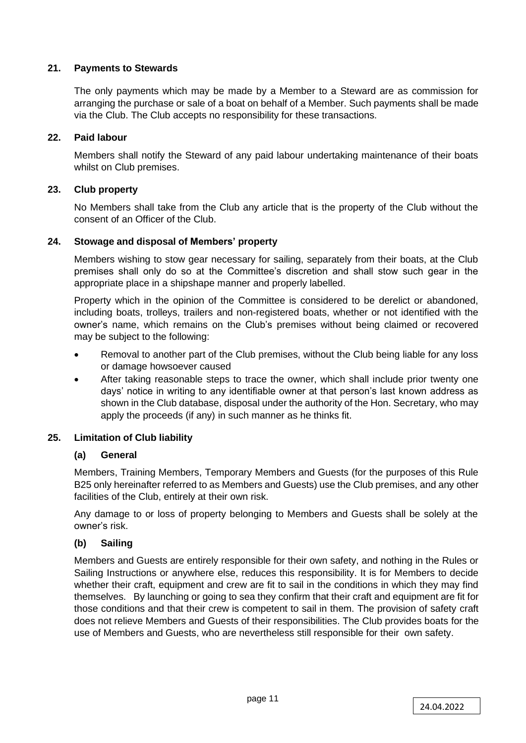# **21. Payments to Stewards**

The only payments which may be made by a Member to a Steward are as commission for arranging the purchase or sale of a boat on behalf of a Member. Such payments shall be made via the Club. The Club accepts no responsibility for these transactions.

# **22. Paid labour**

Members shall notify the Steward of any paid labour undertaking maintenance of their boats whilst on Club premises.

# **23. Club property**

No Members shall take from the Club any article that is the property of the Club without the consent of an Officer of the Club.

# **24. Stowage and disposal of Members' property**

Members wishing to stow gear necessary for sailing, separately from their boats, at the Club premises shall only do so at the Committee's discretion and shall stow such gear in the appropriate place in a shipshape manner and properly labelled.

Property which in the opinion of the Committee is considered to be derelict or abandoned, including boats, trolleys, trailers and non-registered boats, whether or not identified with the owner's name, which remains on the Club's premises without being claimed or recovered may be subject to the following:

- Removal to another part of the Club premises, without the Club being liable for any loss or damage howsoever caused
- After taking reasonable steps to trace the owner, which shall include prior twenty one days' notice in writing to any identifiable owner at that person's last known address as shown in the Club database, disposal under the authority of the Hon. Secretary, who may apply the proceeds (if any) in such manner as he thinks fit.

# **25. Limitation of Club liability**

# **(a) General**

Members, Training Members, Temporary Members and Guests (for the purposes of this Rule B25 only hereinafter referred to as Members and Guests) use the Club premises, and any other facilities of the Club, entirely at their own risk.

Any damage to or loss of property belonging to Members and Guests shall be solely at the owner's risk.

# **(b) Sailing**

Members and Guests are entirely responsible for their own safety, and nothing in the Rules or Sailing Instructions or anywhere else, reduces this responsibility. It is for Members to decide whether their craft, equipment and crew are fit to sail in the conditions in which they may find themselves. By launching or going to sea they confirm that their craft and equipment are fit for those conditions and that their crew is competent to sail in them. The provision of safety craft does not relieve Members and Guests of their responsibilities. The Club provides boats for the use of Members and Guests, who are nevertheless still responsible for their own safety.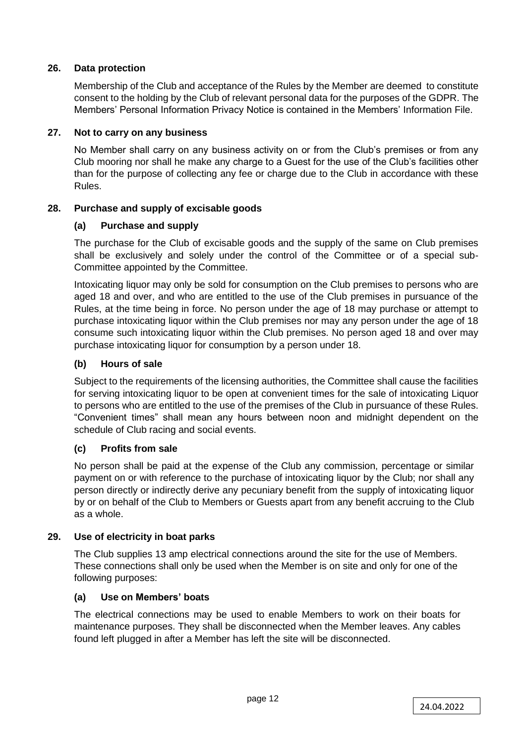# **26. Data protection**

Membership of the Club and acceptance of the Rules by the Member are deemed to constitute consent to the holding by the Club of relevant personal data for the purposes of the GDPR. The Members' Personal Information Privacy Notice is contained in the Members' Information File.

#### **27. Not to carry on any business**

No Member shall carry on any business activity on or from the Club's premises or from any Club mooring nor shall he make any charge to a Guest for the use of the Club's facilities other than for the purpose of collecting any fee or charge due to the Club in accordance with these Rules.

# **28. Purchase and supply of excisable goods**

#### **(a) Purchase and supply**

The purchase for the Club of excisable goods and the supply of the same on Club premises shall be exclusively and solely under the control of the Committee or of a special sub-Committee appointed by the Committee.

Intoxicating liquor may only be sold for consumption on the Club premises to persons who are aged 18 and over, and who are entitled to the use of the Club premises in pursuance of the Rules, at the time being in force. No person under the age of 18 may purchase or attempt to purchase intoxicating liquor within the Club premises nor may any person under the age of 18 consume such intoxicating liquor within the Club premises. No person aged 18 and over may purchase intoxicating liquor for consumption by a person under 18.

# **(b) Hours of sale**

Subject to the requirements of the licensing authorities, the Committee shall cause the facilities for serving intoxicating liquor to be open at convenient times for the sale of intoxicating Liquor to persons who are entitled to the use of the premises of the Club in pursuance of these Rules. "Convenient times" shall mean any hours between noon and midnight dependent on the schedule of Club racing and social events.

# **(c) Profits from sale**

No person shall be paid at the expense of the Club any commission, percentage or similar payment on or with reference to the purchase of intoxicating liquor by the Club; nor shall any person directly or indirectly derive any pecuniary benefit from the supply of intoxicating liquor by or on behalf of the Club to Members or Guests apart from any benefit accruing to the Club as a whole.

# **29. Use of electricity in boat parks**

The Club supplies 13 amp electrical connections around the site for the use of Members. These connections shall only be used when the Member is on site and only for one of the following purposes:

#### **(a) Use on Members' boats**

The electrical connections may be used to enable Members to work on their boats for maintenance purposes. They shall be disconnected when the Member leaves. Any cables found left plugged in after a Member has left the site will be disconnected.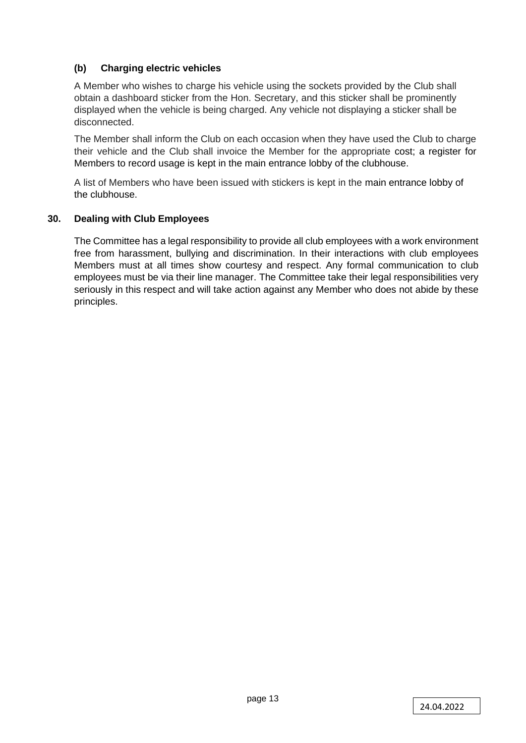# **(b) Charging electric vehicles**

A Member who wishes to charge his vehicle using the sockets provided by the Club shall obtain a dashboard sticker from the Hon. Secretary, and this sticker shall be prominently displayed when the vehicle is being charged. Any vehicle not displaying a sticker shall be disconnected.

The Member shall inform the Club on each occasion when they have used the Club to charge their vehicle and the Club shall invoice the Member for the appropriate cost; a register for Members to record usage is kept in the main entrance lobby of the clubhouse.

A list of Members who have been issued with stickers is kept in the main entrance lobby of the clubhouse.

# **30. Dealing with Club Employees**

The Committee has a legal responsibility to provide all club employees with a work environment free from harassment, bullying and discrimination. In their interactions with club employees Members must at all times show courtesy and respect. Any formal communication to club employees must be via their line manager. The Committee take their legal responsibilities very seriously in this respect and will take action against any Member who does not abide by these principles.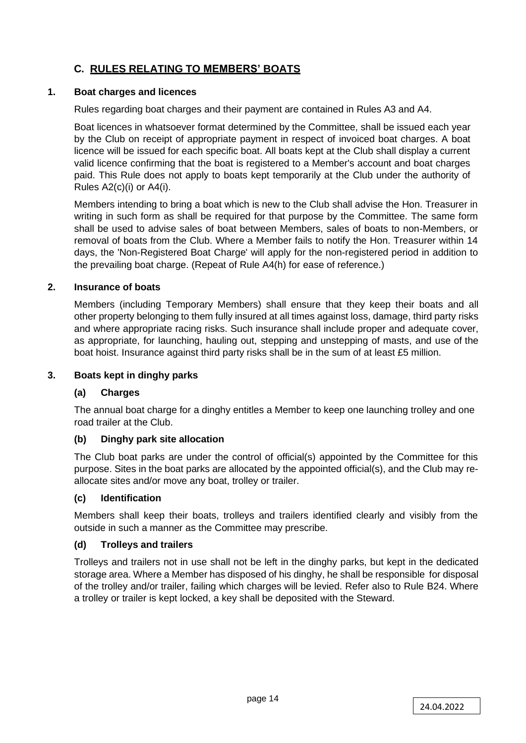# **C. RULES RELATING TO MEMBERS' BOATS**

# **1. Boat charges and licences**

Rules regarding boat charges and their payment are contained in Rules A3 and A4.

Boat licences in whatsoever format determined by the Committee, shall be issued each year by the Club on receipt of appropriate payment in respect of invoiced boat charges. A boat licence will be issued for each specific boat. All boats kept at the Club shall display a current valid licence confirming that the boat is registered to a Member's account and boat charges paid. This Rule does not apply to boats kept temporarily at the Club under the authority of Rules A2(c)(i) or A4(i).

Members intending to bring a boat which is new to the Club shall advise the Hon. Treasurer in writing in such form as shall be required for that purpose by the Committee. The same form shall be used to advise sales of boat between Members, sales of boats to non-Members, or removal of boats from the Club. Where a Member fails to notify the Hon. Treasurer within 14 days, the 'Non-Registered Boat Charge' will apply for the non-registered period in addition to the prevailing boat charge. (Repeat of Rule A4(h) for ease of reference.)

# **2. Insurance of boats**

Members (including Temporary Members) shall ensure that they keep their boats and all other property belonging to them fully insured at all times against loss, damage, third party risks and where appropriate racing risks. Such insurance shall include proper and adequate cover, as appropriate, for launching, hauling out, stepping and unstepping of masts, and use of the boat hoist. Insurance against third party risks shall be in the sum of at least £5 million.

# **3. Boats kept in dinghy parks**

# **(a) Charges**

The annual boat charge for a dinghy entitles a Member to keep one launching trolley and one road trailer at the Club.

# **(b) Dinghy park site allocation**

The Club boat parks are under the control of official(s) appointed by the Committee for this purpose. Sites in the boat parks are allocated by the appointed official(s), and the Club may reallocate sites and/or move any boat, trolley or trailer.

# **(c) Identification**

Members shall keep their boats, trolleys and trailers identified clearly and visibly from the outside in such a manner as the Committee may prescribe.

# **(d) Trolleys and trailers**

Trolleys and trailers not in use shall not be left in the dinghy parks, but kept in the dedicated storage area. Where a Member has disposed of his dinghy, he shall be responsible for disposal of the trolley and/or trailer, failing which charges will be levied. Refer also to Rule B24. Where a trolley or trailer is kept locked, a key shall be deposited with the Steward.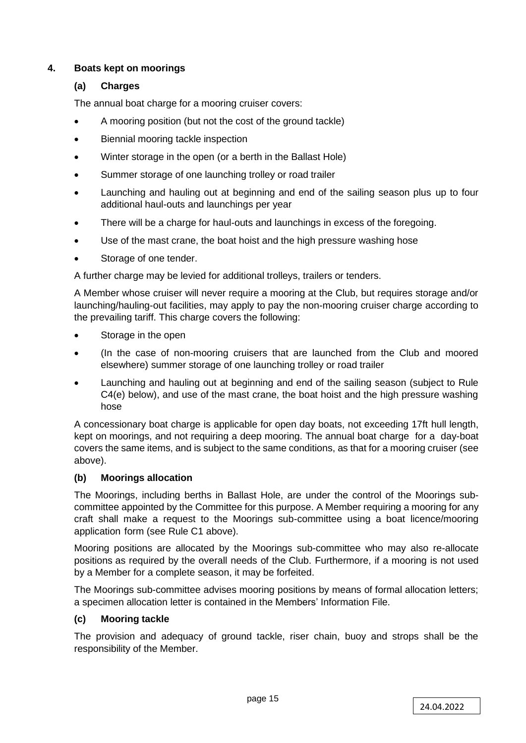# **4. Boats kept on moorings**

# **(a) Charges**

The annual boat charge for a mooring cruiser covers:

- A mooring position (but not the cost of the ground tackle)
- Biennial mooring tackle inspection
- Winter storage in the open (or a berth in the Ballast Hole)
- Summer storage of one launching trolley or road trailer
- Launching and hauling out at beginning and end of the sailing season plus up to four additional haul-outs and launchings per year
- There will be a charge for haul-outs and launchings in excess of the foregoing.
- Use of the mast crane, the boat hoist and the high pressure washing hose
- Storage of one tender.

A further charge may be levied for additional trolleys, trailers or tenders.

A Member whose cruiser will never require a mooring at the Club, but requires storage and/or launching/hauling-out facilities, may apply to pay the non-mooring cruiser charge according to the prevailing tariff. This charge covers the following:

- Storage in the open
- (In the case of non-mooring cruisers that are launched from the Club and moored elsewhere) summer storage of one launching trolley or road trailer
- Launching and hauling out at beginning and end of the sailing season (subject to Rule C4(e) below), and use of the mast crane, the boat hoist and the high pressure washing hose

A concessionary boat charge is applicable for open day boats, not exceeding 17ft hull length, kept on moorings, and not requiring a deep mooring. The annual boat charge for a day-boat covers the same items, and is subject to the same conditions, as that for a mooring cruiser (see above).

# **(b) Moorings allocation**

The Moorings, including berths in Ballast Hole, are under the control of the Moorings subcommittee appointed by the Committee for this purpose. A Member requiring a mooring for any craft shall make a request to the Moorings sub-committee using a boat licence/mooring application form (see Rule C1 above).

Mooring positions are allocated by the Moorings sub-committee who may also re-allocate positions as required by the overall needs of the Club. Furthermore, if a mooring is not used by a Member for a complete season, it may be forfeited.

The Moorings sub-committee advises mooring positions by means of formal allocation letters; a specimen allocation letter is contained in the Members' Information File.

# **(c) Mooring tackle**

The provision and adequacy of ground tackle, riser chain, buoy and strops shall be the responsibility of the Member.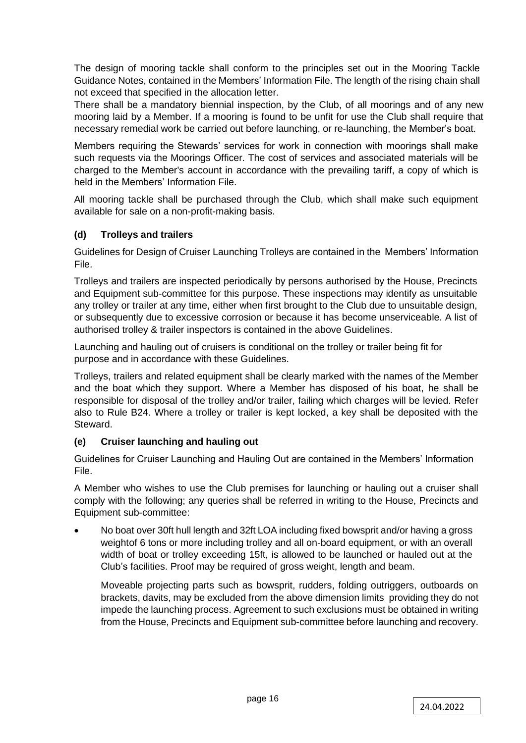The design of mooring tackle shall conform to the principles set out in the Mooring Tackle Guidance Notes, contained in the Members' Information File. The length of the rising chain shall not exceed that specified in the allocation letter.

There shall be a mandatory biennial inspection, by the Club, of all moorings and of any new mooring laid by a Member. If a mooring is found to be unfit for use the Club shall require that necessary remedial work be carried out before launching, or re-launching, the Member's boat.

Members requiring the Stewards' services for work in connection with moorings shall make such requests via the Moorings Officer. The cost of services and associated materials will be charged to the Member's account in accordance with the prevailing tariff, a copy of which is held in the Members' Information File.

All mooring tackle shall be purchased through the Club, which shall make such equipment available for sale on a non-profit-making basis.

# **(d) Trolleys and trailers**

Guidelines for Design of Cruiser Launching Trolleys are contained in the Members' Information File.

Trolleys and trailers are inspected periodically by persons authorised by the House, Precincts and Equipment sub-committee for this purpose. These inspections may identify as unsuitable any trolley or trailer at any time, either when first brought to the Club due to unsuitable design, or subsequently due to excessive corrosion or because it has become unserviceable. A list of authorised trolley & trailer inspectors is contained in the above Guidelines.

Launching and hauling out of cruisers is conditional on the trolley or trailer being fit for purpose and in accordance with these Guidelines.

Trolleys, trailers and related equipment shall be clearly marked with the names of the Member and the boat which they support. Where a Member has disposed of his boat, he shall be responsible for disposal of the trolley and/or trailer, failing which charges will be levied. Refer also to Rule B24. Where a trolley or trailer is kept locked, a key shall be deposited with the **Steward** 

# **(e) Cruiser launching and hauling out**

Guidelines for Cruiser Launching and Hauling Out are contained in the Members' Information File.

A Member who wishes to use the Club premises for launching or hauling out a cruiser shall comply with the following; any queries shall be referred in writing to the House, Precincts and Equipment sub-committee:

• No boat over 30ft hull length and 32ft LOA including fixed bowsprit and/or having a gross weightof 6 tons or more including trolley and all on-board equipment, or with an overall width of boat or trolley exceeding 15ft, is allowed to be launched or hauled out at the Club's facilities. Proof may be required of gross weight, length and beam.

Moveable projecting parts such as bowsprit, rudders, folding outriggers, outboards on brackets, davits, may be excluded from the above dimension limits providing they do not impede the launching process. Agreement to such exclusions must be obtained in writing from the House, Precincts and Equipment sub-committee before launching and recovery.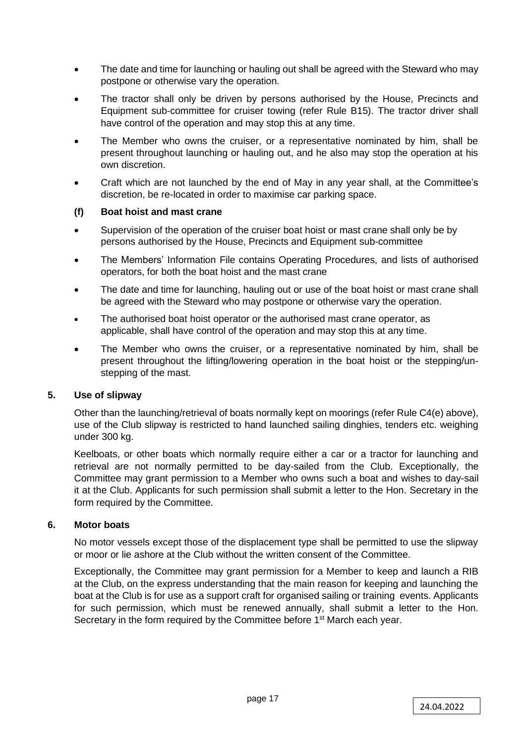- The date and time for launching or hauling out shall be agreed with the Steward who may postpone or otherwise vary the operation.
- The tractor shall only be driven by persons authorised by the House, Precincts and Equipment sub-committee for cruiser towing (refer Rule B15). The tractor driver shall have control of the operation and may stop this at any time.
- The Member who owns the cruiser, or a representative nominated by him, shall be present throughout launching or hauling out, and he also may stop the operation at his own discretion.
- Craft which are not launched by the end of May in any year shall, at the Committee's discretion, be re-located in order to maximise car parking space.

# **(f) Boat hoist and mast crane**

- Supervision of the operation of the cruiser boat hoist or mast crane shall only be by persons authorised by the House, Precincts and Equipment sub-committee
- The Members' Information File contains Operating Procedures, and lists of authorised operators, for both the boat hoist and the mast crane
- The date and time for launching, hauling out or use of the boat hoist or mast crane shall be agreed with the Steward who may postpone or otherwise vary the operation.
- The authorised boat hoist operator or the authorised mast crane operator, as applicable, shall have control of the operation and may stop this at any time.
- The Member who owns the cruiser, or a representative nominated by him, shall be present throughout the lifting/lowering operation in the boat hoist or the stepping/unstepping of the mast.

# **5. Use of slipway**

Other than the launching/retrieval of boats normally kept on moorings (refer Rule C4(e) above), use of the Club slipway is restricted to hand launched sailing dinghies, tenders etc. weighing under 300 kg.

Keelboats, or other boats which normally require either a car or a tractor for launching and retrieval are not normally permitted to be day-sailed from the Club. Exceptionally, the Committee may grant permission to a Member who owns such a boat and wishes to day-sail it at the Club. Applicants for such permission shall submit a letter to the Hon. Secretary in the form required by the Committee.

# **6. Motor boats**

No motor vessels except those of the displacement type shall be permitted to use the slipway or moor or lie ashore at the Club without the written consent of the Committee.

Exceptionally, the Committee may grant permission for a Member to keep and launch a RIB at the Club, on the express understanding that the main reason for keeping and launching the boat at the Club is for use as a support craft for organised sailing or training events. Applicants for such permission, which must be renewed annually, shall submit a letter to the Hon. Secretary in the form required by the Committee before 1<sup>st</sup> March each year.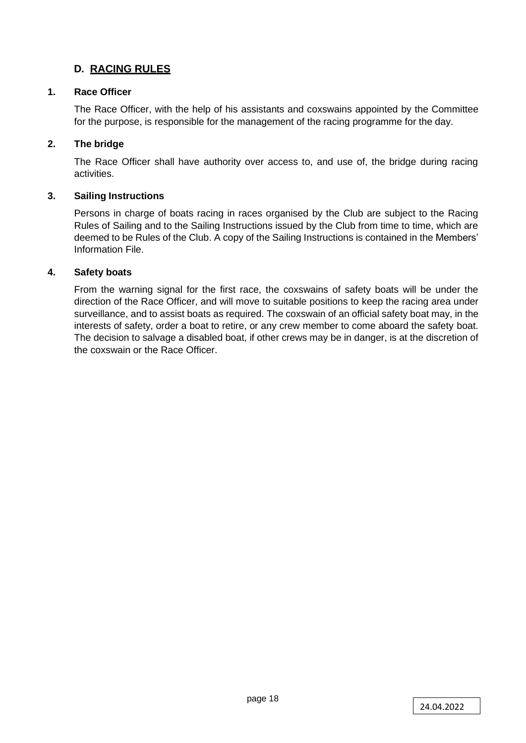# **D. RACING RULES**

# **1. Race Officer**

The Race Officer, with the help of his assistants and coxswains appointed by the Committee for the purpose, is responsible for the management of the racing programme for the day.

# **2. The bridge**

The Race Officer shall have authority over access to, and use of, the bridge during racing activities.

# **3. Sailing Instructions**

Persons in charge of boats racing in races organised by the Club are subject to the Racing Rules of Sailing and to the Sailing Instructions issued by the Club from time to time, which are deemed to be Rules of the Club. A copy of the Sailing Instructions is contained in the Members' Information File.

# **4. Safety boats**

From the warning signal for the first race, the coxswains of safety boats will be under the direction of the Race Officer, and will move to suitable positions to keep the racing area under surveillance, and to assist boats as required. The coxswain of an official safety boat may, in the interests of safety, order a boat to retire, or any crew member to come aboard the safety boat. The decision to salvage a disabled boat, if other crews may be in danger, is at the discretion of the coxswain or the Race Officer.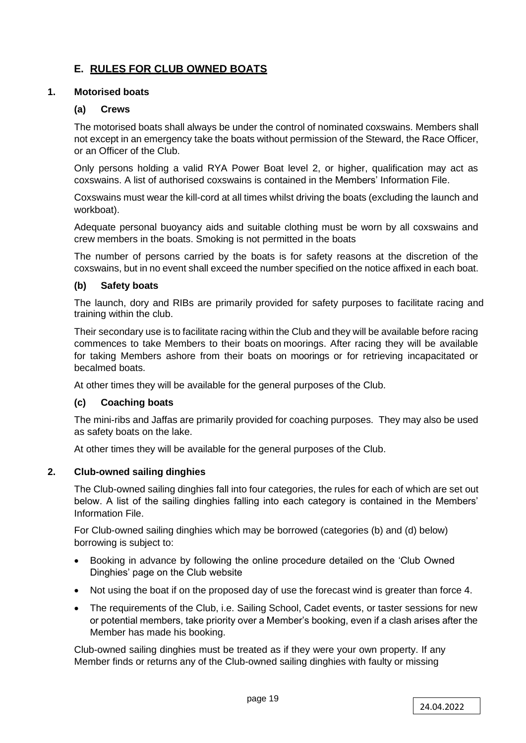# **E. RULES FOR CLUB OWNED BOATS**

# **1. Motorised boats**

#### **(a) Crews**

The motorised boats shall always be under the control of nominated coxswains. Members shall not except in an emergency take the boats without permission of the Steward, the Race Officer, or an Officer of the Club.

Only persons holding a valid RYA Power Boat level 2, or higher, qualification may act as coxswains. A list of authorised coxswains is contained in the Members' Information File.

Coxswains must wear the kill-cord at all times whilst driving the boats (excluding the launch and workboat).

Adequate personal buoyancy aids and suitable clothing must be worn by all coxswains and crew members in the boats. Smoking is not permitted in the boats

The number of persons carried by the boats is for safety reasons at the discretion of the coxswains, but in no event shall exceed the number specified on the notice affixed in each boat.

#### **(b) Safety boats**

The launch, dory and RIBs are primarily provided for safety purposes to facilitate racing and training within the club.

Their secondary use is to facilitate racing within the Club and they will be available before racing commences to take Members to their boats on moorings. After racing they will be available for taking Members ashore from their boats on moorings or for retrieving incapacitated or becalmed boats.

At other times they will be available for the general purposes of the Club.

# **(c) Coaching boats**

The mini-ribs and Jaffas are primarily provided for coaching purposes. They may also be used as safety boats on the lake.

At other times they will be available for the general purposes of the Club.

# **2. Club-owned sailing dinghies**

The Club-owned sailing dinghies fall into four categories, the rules for each of which are set out below. A list of the sailing dinghies falling into each category is contained in the Members' Information File.

For Club-owned sailing dinghies which may be borrowed (categories (b) and (d) below) borrowing is subject to:

- Booking in advance by following the online procedure detailed on the 'Club Owned Dinghies' page on the Club website
- Not using the boat if on the proposed day of use the forecast wind is greater than force 4.
- The requirements of the Club, i.e. Sailing School, Cadet events, or taster sessions for new or potential members, take priority over a Member's booking, even if a clash arises after the Member has made his booking.

Club-owned sailing dinghies must be treated as if they were your own property. If any Member finds or returns any of the Club-owned sailing dinghies with faulty or missing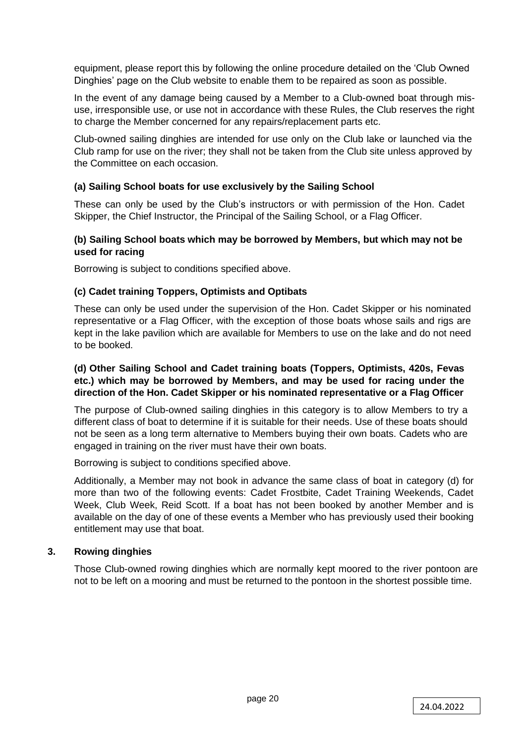equipment, please report this by following the online procedure detailed on the 'Club Owned Dinghies' page on the Club website to enable them to be repaired as soon as possible.

In the event of any damage being caused by a Member to a Club-owned boat through misuse, irresponsible use, or use not in accordance with these Rules, the Club reserves the right to charge the Member concerned for any repairs/replacement parts etc.

Club-owned sailing dinghies are intended for use only on the Club lake or launched via the Club ramp for use on the river; they shall not be taken from the Club site unless approved by the Committee on each occasion.

# **(a) Sailing School boats for use exclusively by the Sailing School**

These can only be used by the Club's instructors or with permission of the Hon. Cadet Skipper, the Chief Instructor, the Principal of the Sailing School, or a Flag Officer.

# **(b) Sailing School boats which may be borrowed by Members, but which may not be used for racing**

Borrowing is subject to conditions specified above.

# **(c) Cadet training Toppers, Optimists and Optibats**

These can only be used under the supervision of the Hon. Cadet Skipper or his nominated representative or a Flag Officer, with the exception of those boats whose sails and rigs are kept in the lake pavilion which are available for Members to use on the lake and do not need to be booked.

# **(d) Other Sailing School and Cadet training boats (Toppers, Optimists, 420s, Fevas etc.) which may be borrowed by Members, and may be used for racing under the direction of the Hon. Cadet Skipper or his nominated representative or a Flag Officer**

The purpose of Club-owned sailing dinghies in this category is to allow Members to try a different class of boat to determine if it is suitable for their needs. Use of these boats should not be seen as a long term alternative to Members buying their own boats. Cadets who are engaged in training on the river must have their own boats.

Borrowing is subject to conditions specified above.

Additionally, a Member may not book in advance the same class of boat in category (d) for more than two of the following events: Cadet Frostbite, Cadet Training Weekends, Cadet Week, Club Week, Reid Scott. If a boat has not been booked by another Member and is available on the day of one of these events a Member who has previously used their booking entitlement may use that boat.

# **3. Rowing dinghies**

Those Club-owned rowing dinghies which are normally kept moored to the river pontoon are not to be left on a mooring and must be returned to the pontoon in the shortest possible time.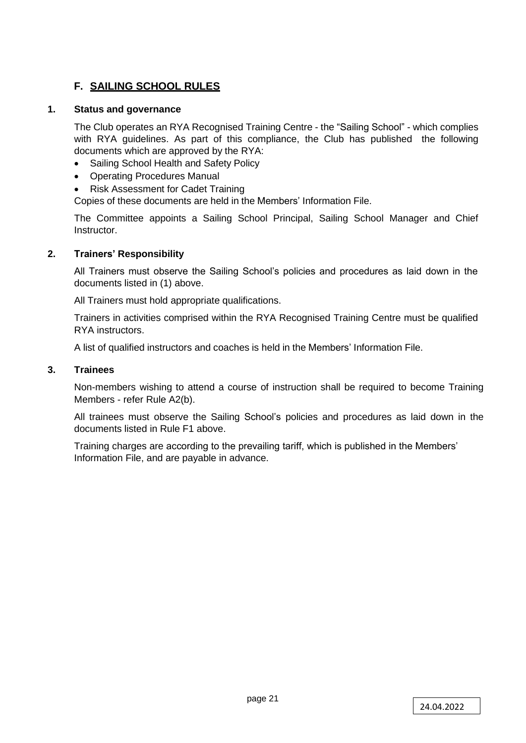# **F. SAILING SCHOOL RULES**

# **1. Status and governance**

The Club operates an RYA Recognised Training Centre - the "Sailing School" - which complies with RYA guidelines. As part of this compliance, the Club has published the following documents which are approved by the RYA:

- Sailing School Health and Safety Policy
- Operating Procedures Manual
- Risk Assessment for Cadet Training

Copies of these documents are held in the Members' Information File.

The Committee appoints a Sailing School Principal, Sailing School Manager and Chief Instructor.

# **2. Trainers' Responsibility**

All Trainers must observe the Sailing School's policies and procedures as laid down in the documents listed in (1) above.

All Trainers must hold appropriate qualifications.

Trainers in activities comprised within the RYA Recognised Training Centre must be qualified RYA instructors.

A list of qualified instructors and coaches is held in the Members' Information File.

# **3. Trainees**

Non-members wishing to attend a course of instruction shall be required to become Training Members - refer Rule A2(b).

All trainees must observe the Sailing School's policies and procedures as laid down in the documents listed in Rule F1 above.

Training charges are according to the prevailing tariff, which is published in the Members' Information File, and are payable in advance.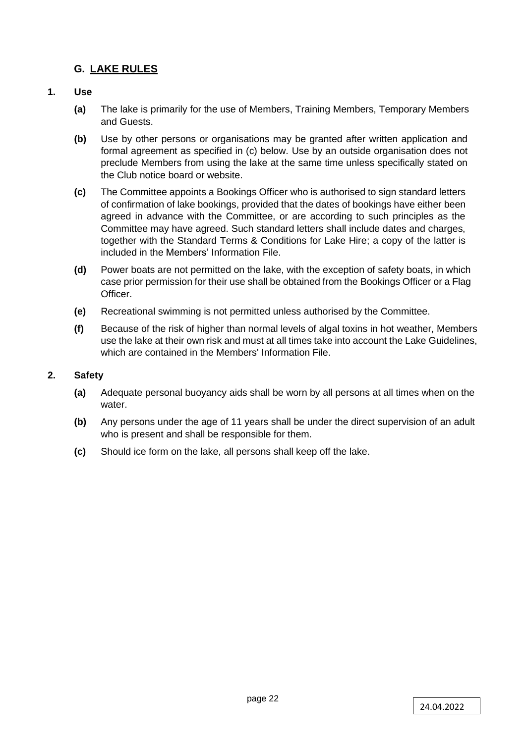# **G. LAKE RULES**

# **1. Use**

- **(a)** The lake is primarily for the use of Members, Training Members, Temporary Members and Guests.
- **(b)** Use by other persons or organisations may be granted after written application and formal agreement as specified in (c) below. Use by an outside organisation does not preclude Members from using the lake at the same time unless specifically stated on the Club notice board or website.
- **(c)** The Committee appoints a Bookings Officer who is authorised to sign standard letters of confirmation of lake bookings, provided that the dates of bookings have either been agreed in advance with the Committee, or are according to such principles as the Committee may have agreed. Such standard letters shall include dates and charges, together with the Standard Terms & Conditions for Lake Hire; a copy of the latter is included in the Members' Information File.
- **(d)** Power boats are not permitted on the lake, with the exception of safety boats, in which case prior permission for their use shall be obtained from the Bookings Officer or a Flag Officer.
- **(e)** Recreational swimming is not permitted unless authorised by the Committee.
- **(f)** Because of the risk of higher than normal levels of algal toxins in hot weather, Members use the lake at their own risk and must at all times take into account the Lake Guidelines, which are contained in the Members' Information File.

# **2. Safety**

- **(a)** Adequate personal buoyancy aids shall be worn by all persons at all times when on the water.
- **(b)** Any persons under the age of 11 years shall be under the direct supervision of an adult who is present and shall be responsible for them.
- **(c)** Should ice form on the lake, all persons shall keep off the lake.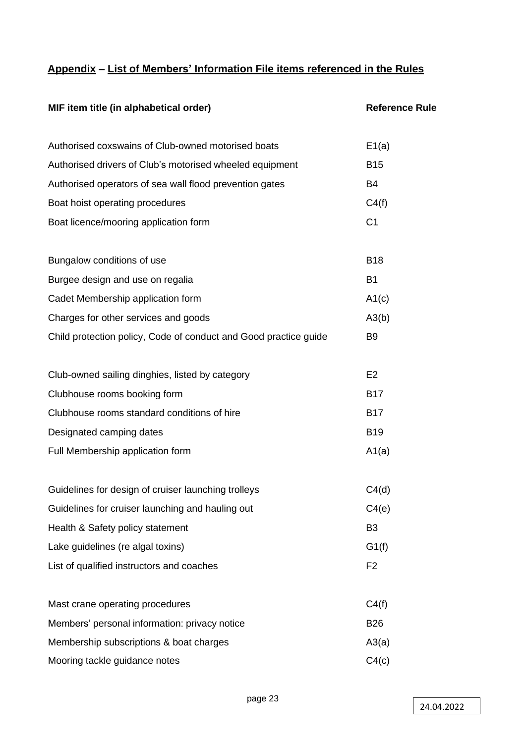# **Appendix – List of Members' Information File items referenced in the Rules**

| MIF item title (in alphabetical order)                           | <b>Reference Rule</b> |  |  |
|------------------------------------------------------------------|-----------------------|--|--|
| Authorised coxswains of Club-owned motorised boats               | E1(a)                 |  |  |
| Authorised drivers of Club's motorised wheeled equipment         | <b>B15</b>            |  |  |
| Authorised operators of sea wall flood prevention gates          | B4                    |  |  |
| Boat hoist operating procedures                                  | C4(f)                 |  |  |
| Boat licence/mooring application form                            | C <sub>1</sub>        |  |  |
| Bungalow conditions of use                                       | <b>B18</b>            |  |  |
| Burgee design and use on regalia                                 | <b>B1</b>             |  |  |
| Cadet Membership application form                                | A1(c)                 |  |  |
| Charges for other services and goods                             | A3(b)                 |  |  |
| Child protection policy, Code of conduct and Good practice guide | B <sub>9</sub>        |  |  |
| Club-owned sailing dinghies, listed by category                  | E <sub>2</sub>        |  |  |
| Clubhouse rooms booking form                                     | <b>B17</b>            |  |  |
| Clubhouse rooms standard conditions of hire                      | <b>B17</b>            |  |  |
| Designated camping dates                                         | <b>B19</b>            |  |  |
| Full Membership application form                                 | A1(a)                 |  |  |
| Guidelines for design of cruiser launching trolleys              | C4(d)                 |  |  |
| Guidelines for cruiser launching and hauling out                 | C4(e)                 |  |  |
| Health & Safety policy statement                                 | B <sub>3</sub>        |  |  |
| Lake guidelines (re algal toxins)                                | G1(f)                 |  |  |
| List of qualified instructors and coaches                        | F <sub>2</sub>        |  |  |
| Mast crane operating procedures                                  | C4(f)                 |  |  |
| Members' personal information: privacy notice                    | <b>B26</b>            |  |  |
| Membership subscriptions & boat charges                          | A3(a)                 |  |  |
| Mooring tackle guidance notes                                    | C4(c)                 |  |  |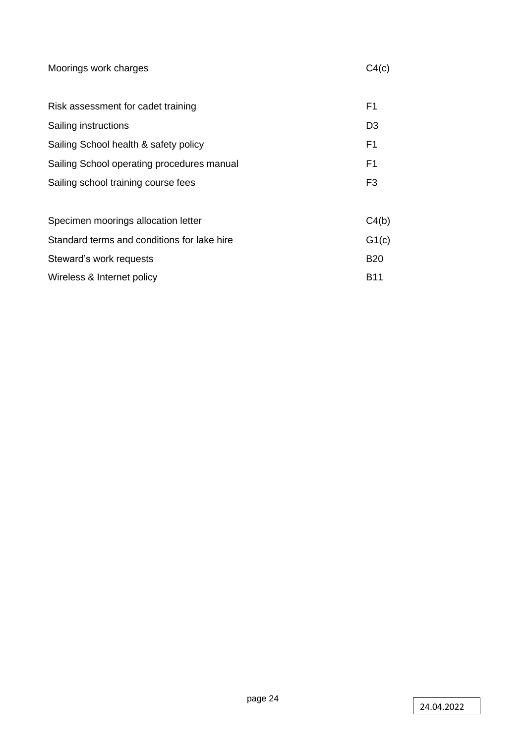| Moorings work charges                       |                |  |
|---------------------------------------------|----------------|--|
|                                             |                |  |
| Risk assessment for cadet training          | F1             |  |
| Sailing instructions                        | D <sub>3</sub> |  |
| Sailing School health & safety policy       | F1             |  |
| Sailing School operating procedures manual  | F1             |  |
| Sailing school training course fees         | F3             |  |
|                                             |                |  |
| Specimen moorings allocation letter         | C4(b)          |  |
| Standard terms and conditions for lake hire | G1(c)          |  |
| Steward's work requests                     | <b>B20</b>     |  |
| Wireless & Internet policy                  |                |  |